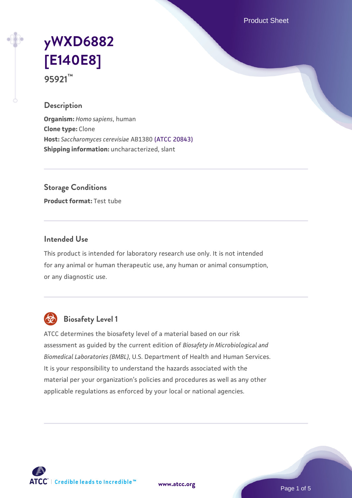Product Sheet

# **[yWXD6882](https://www.atcc.org/products/95921) [\[E140E8\]](https://www.atcc.org/products/95921) 95921™**

#### **Description**

**Organism:** *Homo sapiens*, human **Clone type:** Clone **Host:** *Saccharomyces cerevisiae* AB1380 [\(ATCC 20843\)](https://www.atcc.org/products/20843) **Shipping information:** uncharacterized, slant

**Storage Conditions**

**Product format:** Test tube

### **Intended Use**

This product is intended for laboratory research use only. It is not intended for any animal or human therapeutic use, any human or animal consumption, or any diagnostic use.



### **Biosafety Level 1**

ATCC determines the biosafety level of a material based on our risk assessment as guided by the current edition of *Biosafety in Microbiological and Biomedical Laboratories (BMBL)*, U.S. Department of Health and Human Services. It is your responsibility to understand the hazards associated with the material per your organization's policies and procedures as well as any other applicable regulations as enforced by your local or national agencies.

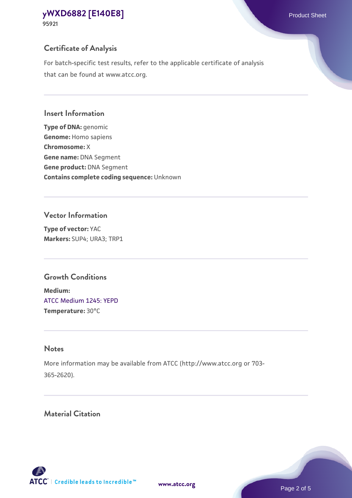### **Certificate of Analysis**

For batch-specific test results, refer to the applicable certificate of analysis that can be found at www.atcc.org.

### **Insert Information**

**Type of DNA:** genomic **Genome:** Homo sapiens **Chromosome:** X **Gene name:** DNA Segment **Gene product:** DNA Segment **Contains complete coding sequence:** Unknown

### **Vector Information**

**Type of vector:** YAC **Markers:** SUP4; URA3; TRP1

### **Growth Conditions**

**Medium:**  [ATCC Medium 1245: YEPD](https://www.atcc.org/-/media/product-assets/documents/microbial-media-formulations/1/2/4/5/atcc-medium-1245.pdf?rev=705ca55d1b6f490a808a965d5c072196) **Temperature:** 30°C

### **Notes**

More information may be available from ATCC (http://www.atcc.org or 703- 365-2620).

### **Material Citation**

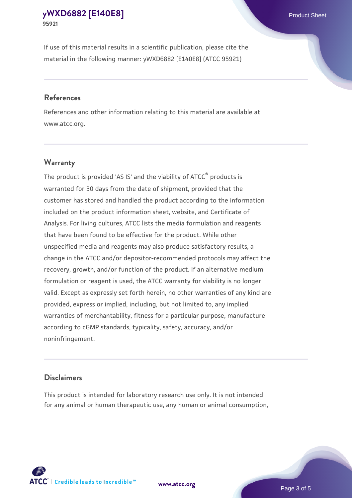If use of this material results in a scientific publication, please cite the material in the following manner: yWXD6882 [E140E8] (ATCC 95921)

#### **References**

References and other information relating to this material are available at www.atcc.org.

#### **Warranty**

The product is provided 'AS IS' and the viability of  $ATCC<sup>®</sup>$  products is warranted for 30 days from the date of shipment, provided that the customer has stored and handled the product according to the information included on the product information sheet, website, and Certificate of Analysis. For living cultures, ATCC lists the media formulation and reagents that have been found to be effective for the product. While other unspecified media and reagents may also produce satisfactory results, a change in the ATCC and/or depositor-recommended protocols may affect the recovery, growth, and/or function of the product. If an alternative medium formulation or reagent is used, the ATCC warranty for viability is no longer valid. Except as expressly set forth herein, no other warranties of any kind are provided, express or implied, including, but not limited to, any implied warranties of merchantability, fitness for a particular purpose, manufacture according to cGMP standards, typicality, safety, accuracy, and/or noninfringement.

#### **Disclaimers**

This product is intended for laboratory research use only. It is not intended for any animal or human therapeutic use, any human or animal consumption,





Page 3 of 5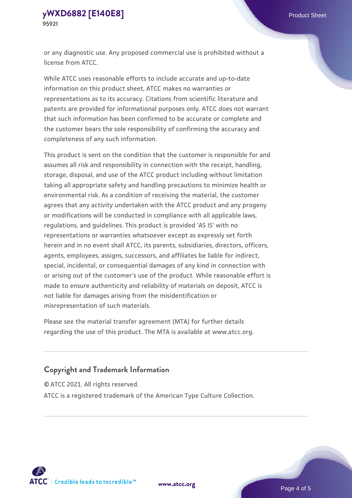or any diagnostic use. Any proposed commercial use is prohibited without a license from ATCC.

While ATCC uses reasonable efforts to include accurate and up-to-date information on this product sheet, ATCC makes no warranties or representations as to its accuracy. Citations from scientific literature and patents are provided for informational purposes only. ATCC does not warrant that such information has been confirmed to be accurate or complete and the customer bears the sole responsibility of confirming the accuracy and completeness of any such information.

This product is sent on the condition that the customer is responsible for and assumes all risk and responsibility in connection with the receipt, handling, storage, disposal, and use of the ATCC product including without limitation taking all appropriate safety and handling precautions to minimize health or environmental risk. As a condition of receiving the material, the customer agrees that any activity undertaken with the ATCC product and any progeny or modifications will be conducted in compliance with all applicable laws, regulations, and guidelines. This product is provided 'AS IS' with no representations or warranties whatsoever except as expressly set forth herein and in no event shall ATCC, its parents, subsidiaries, directors, officers, agents, employees, assigns, successors, and affiliates be liable for indirect, special, incidental, or consequential damages of any kind in connection with or arising out of the customer's use of the product. While reasonable effort is made to ensure authenticity and reliability of materials on deposit, ATCC is not liable for damages arising from the misidentification or misrepresentation of such materials.

Please see the material transfer agreement (MTA) for further details regarding the use of this product. The MTA is available at www.atcc.org.

### **Copyright and Trademark Information**

© ATCC 2021. All rights reserved.

ATCC is a registered trademark of the American Type Culture Collection.



**[www.atcc.org](http://www.atcc.org)**